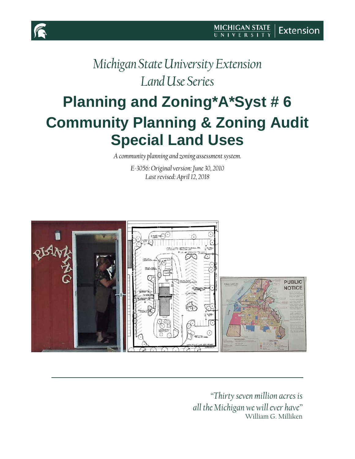

# <span id="page-0-0"></span>**Planning and Zoning\*A\*Syst # 6 Community Planning & Zoning Audit Special Land Uses**

*A community planning and zoning assessment system.*

*E-3056: Original version: June 30, 2010 Last revised: April 12, 2018*



*"Thirty seven million acres is all the Michigan we will ever have"* William G. Milliken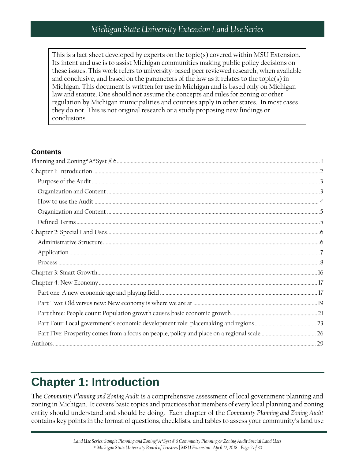This is a fact sheet developed by experts on the topic(s) covered within MSU Extension. Its intent and use is to assist Michigan communities making public policy decisions on these issues. This work refers to university-based peer reviewed research, when available and conclusive, and based on the parameters of the law as it relates to the topic(s) in Michigan. This document is written for use in Michigan and is based only on Michigan law and statute. One should not assume the concepts and rules for zoning or other regulation by Michigan municipalities and counties apply in other states. In most cases they do not. This is not original research or a study proposing new findings or conclusions.

#### **Contents**

## <span id="page-1-0"></span>**Chapter 1: Introduction**

The *Community Planning and Zoning Audit* is a comprehensive assessment of local government planning and zoning in Michigan. It covers basic topics and practices that members of every local planning and zoning entity should understand and should be doing. Each chapter of the *Community Planning and Zoning Audit* contains key points in the format of questions, checklists, and tables to assess your community's land use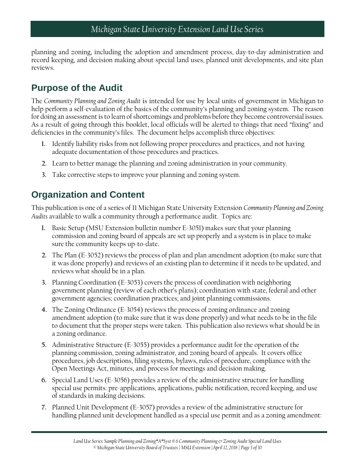planning and zoning, including the adoption and amendment process, day-to-day administration and record keeping, and decision making about special land uses, planned unit developments, and site plan reviews.

### <span id="page-2-0"></span>**Purpose of the Audit**

The *Community Planning and Zoning Audit* is intended for use by local units of government in Michigan to help perform a self-evaluation of the basics of the community's planning and zoning system. The reason for doing an assessment is to learn of shortcomings and problems before they become controversial issues. As a result of going through this booklet, local officials will be alerted to things that need "fixing" and deficiencies in the community's files. The document helps accomplish three objectives:

- **1.** Identify liability risks from not following proper procedures and practices, and not having adequate documentation of those procedures and practices.
- **2.** Learn to better manage the planning and zoning administration in your community.
- **3.** Take corrective steps to improve your planning and zoning system.

### <span id="page-2-1"></span>**Organization and Content**

This publication is one of a series of 11 Michigan State University Extension *Community Planning and Zoning Audits* available to walk a community through a performance audit. Topics are:

- **1.** Basic Setup (MSU Extension bulletin number E-3051) makes sure that your planning commission and zoning board of appeals are set up properly and a system is in place to make sure the community keeps up-to-date.
- **2.** The Plan (E-3052) reviews the process of plan and plan amendment adoption (to make sure that it was done properly) and reviews of an existing plan to determine if it needs to be updated, and reviews what should be in a plan.
- **3.** Planning Coordination (E-3053) covers the process of coordination with neighboring government planning (review of each other's plans); coordination with state, federal and other government agencies; coordination practices; and joint planning commissions.
- **4.** The Zoning Ordinance (E-3054) reviews the process of zoning ordinance and zoning amendment adoption (to make sure that it was done properly) and what needs to be in the file to document that the proper steps were taken. This publication also reviews what should be in a zoning ordinance.
- **5.** Administrative Structure (E-3055) provides a performance audit for the operation of the planning commission, zoning administrator, and zoning board of appeals. It covers office procedures, job descriptions, filing systems, bylaws, rules of procedure, compliance with the Open Meetings Act, minutes, and process for meetings and decision making.
- **6.** Special Land Uses (E-3056) provides a review of the administrative structure for handling special use permits: pre-applications, applications, public notification, record keeping, and use of standards in making decisions.
- **7.** Planned Unit Development (E-3057) provides a review of the administrative structure for handling planned unit development handled as a special use permit and as a zoning amendment: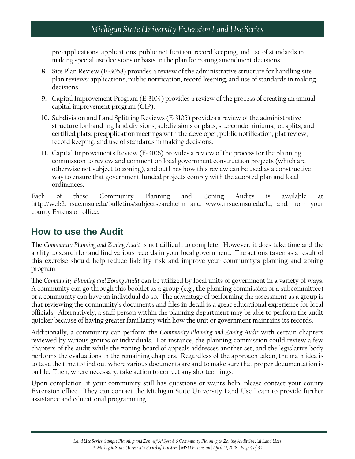pre-applications, applications, public notification, record keeping, and use of standards in making special use decisions or basis in the plan for zoning amendment decisions.

- **8.** Site Plan Review (E-3058) provides a review of the administrative structure for handling site plan reviews: applications, public notification, record keeping, and use of standards in making decisions.
- **9.** Capital Improvement Program (E-3104) provides a review of the process of creating an annual capital improvement program (CIP).
- **10.** Subdivision and Land Splitting Reviews (E-3105) provides a review of the administrative structure for handling land divisions, subdivisions or plats, site-condominiums, lot splits, and certified plats: preapplication meetings with the developer, public notification, plat review, record keeping, and use of standards in making decisions.
- **11.** Capital Improvements Review (E-3106) provides a review of the process for the planning commission to review and comment on local government construction projects (which are otherwise not subject to zoning), and outlines how this review can be used as a constructive way to ensure that government-funded projects comply with the adopted plan and local ordinances.

Each of these Community Planning and Zoning Audits is available at http://web2.msue.msu.edu/bulletins/subjectsearch.cfm and www.msue.msu.edu/lu, and from your county Extension office.

### <span id="page-3-0"></span>**How to use the Audit**

The *Community Planning and Zoning Audit* is not difficult to complete. However, it does take time and the ability to search for and find various records in your local government. The actions taken as a result of this exercise should help reduce liability risk and improve your community's planning and zoning program.

The *Community Planning and Zoning Audit* can be utilized by local units of government in a variety of ways. A community can go through this booklet as a group (e.g., the planning commission or a subcommittee) or a community can have an individual do so. The advantage of performing the assessment as a group is that reviewing the community's documents and files in detail is a great educational experience for local officials. Alternatively, a staff person within the planning department may be able to perform the audit quicker because of having greater familiarity with how the unit or government maintains its records.

Additionally, a community can perform the *Community Planning and Zoning Audit* with certain chapters reviewed by various groups or individuals. For instance, the planning commission could review a few chapters of the audit while the zoning board of appeals addresses another set, and the legislative body performs the evaluations in the remaining chapters. Regardless of the approach taken, the main idea is to take the time to find out where various documents are and to make sure that proper documentation is on file. Then, where necessary, take action to correct any shortcomings.

Upon completion, if your community still has questions or wants help, please contact your county Extension office. They can contact the Michigan State University Land Use Team to provide further assistance and educational programming.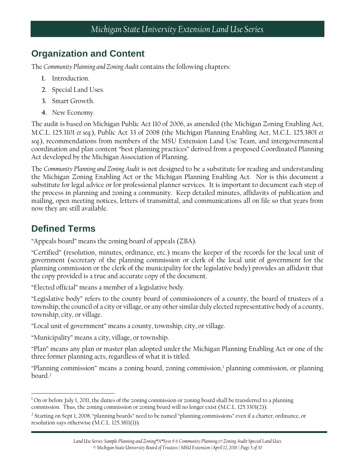### <span id="page-4-0"></span>**Organization and Content**

The *Community Planning and Zoning Audit* contains the following chapters:

- **1.** Introduction.
- **2.** Special Land Uses.
- **3.** Smart Growth.
- **4.** New Economy.

The audit is based on Michigan Public Act 110 of 2006, as amended (the Michigan Zoning Enabling Act, M.C.L. 125.3101 *et seq.*), Public Act 33 of 2008 (the Michigan Planning Enabling Act, M.C.L. 125.3801 *et seq.*), recommendations from members of the MSU Extension Land Use Team, and intergovernmental coordination and plan content "best planning practices" derived from a proposed Coordinated Planning Act developed by the Michigan Association of Planning.

The *Community Planning and Zoning Audit* is not designed to be a substitute for reading and understanding the Michigan Zoning Enabling Act or the Michigan Planning Enabling Act. Nor is this document a substitute for legal advice or for professional planner services. It is important to document each step of the process in planning and zoning a community. Keep detailed minutes, affidavits of publication and mailing, open meeting notices, letters of transmittal, and communications all on file so that years from now they are still available.

### <span id="page-4-1"></span>**Defined Terms**

"Appeals board" means the zoning board of appeals (ZBA).

"Certified" (resolution, minutes, ordinance, etc.) means the keeper of the records for the local unit of government (secretary of the planning commission or clerk of the local unit of government for the planning commission or the clerk of the municipality for the legislative body) provides an affidavit that the copy provided is a true and accurate copy of the document.

"Elected official" means a member of a legislative body.

"Legislative body" refers to the county board of commissioners of a county, the board of trustees of a township, the council of a city or village, or any other similar duly elected representative body of a county, township, city, or village.

"Local unit of government" means a county, township, city, or village.

"Municipality" means a city, village, or township.

"Plan" means any plan or master plan adopted under the Michigan Planning Enabling Act or one of the three former planning acts, regardless of what it is titled.

"Planning commission" means a zoning board, zoning commission,[1](#page-4-2) planning commission, or planning board.<sup>[2](#page-4-3)</sup>

<span id="page-4-2"></span> $\overline{\phantom{a}}$  $1$  On or before July 1, 2011, the duties of the zoning commission or zoning board shall be transferred to a planning commission. Thus, the zoning commission or zoning board will no longer exist (M.C.L. 125.3301(2)).

<span id="page-4-3"></span><sup>2</sup> Starting on Sept 1, 2008, "planning boards" need to be named "planning commissions" even if a charter, ordinance, or resolution says otherwise (M.C.L. 125.3811(1)).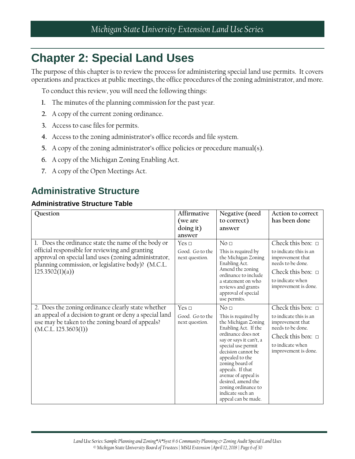## <span id="page-5-0"></span>**Chapter 2: Special Land Uses**

The purpose of this chapter is to review the process for administering special land use permits. It covers operations and practices at public meetings, the office procedures of the zoning administrator, and more.

To conduct this review, you will need the following things:

- **1.** The minutes of the planning commission for the past year.
- **2.** A copy of the current zoning ordinance.
- **3.** Access to case files for permits.
- **4.** Access to the zoning administrator's office records and file system.
- **5.** A copy of the zoning administrator's office policies or procedure manual(s).
- **6.** A copy of the Michigan Zoning Enabling Act.
- **7.** A copy of the Open Meetings Act.

### <span id="page-5-1"></span>**Administrative Structure**

#### **Administrative Structure Table**

| Question                                                                                                                                                                                                                               | Affirmative<br>(we are<br>doing it)<br>answer   | Negative (need<br>to correct)<br>answer                                                                                                                                                                                                                                                                                                                     | Action to correct<br>has been done                                                                                                                              |
|----------------------------------------------------------------------------------------------------------------------------------------------------------------------------------------------------------------------------------------|-------------------------------------------------|-------------------------------------------------------------------------------------------------------------------------------------------------------------------------------------------------------------------------------------------------------------------------------------------------------------------------------------------------------------|-----------------------------------------------------------------------------------------------------------------------------------------------------------------|
| 1. Does the ordinance state the name of the body or<br>official responsible for reviewing and granting<br>approval on special land uses (zoning administrator,<br>planning commission, or legislative body)? (M.C.L.<br>125.3502(1)(a) | Yes $\Box$<br>Good. Go to the<br>next question. | No <sub>1</sub><br>This is required by<br>the Michigan Zoning<br>Enabling Act.<br>Amend the zoning<br>ordinance to include<br>a statement on who<br>reviews and grants<br>approval of special<br>use permits.                                                                                                                                               | Check this box: $\Box$<br>to indicate this is an<br>improvement that<br>needs to be done.<br>Check this box: $\Box$<br>to indicate when<br>improvement is done. |
| 2. Does the zoning ordinance clearly state whether<br>an appeal of a decision to grant or deny a special land<br>use may be taken to the zoning board of appeals?<br>(M.C.L. 125.3603(1))                                              | Yes $\Box$<br>Good. Go to the<br>next question. | No <sub>1</sub><br>This is required by<br>the Michigan Zoning<br>Enabling Act. If the<br>ordinance does not<br>say or says it can't, a<br>special use permit<br>decision cannot be<br>appealed to the<br>zoning board of<br>appeals. If that<br>avenue of appeal is<br>desired, amend the<br>zoning ordinance to<br>indicate such an<br>appeal can be made. | Check this box: $\Box$<br>to indicate this is an<br>improvement that<br>needs to be done.<br>Check this box: $\Box$<br>to indicate when<br>improvement is done. |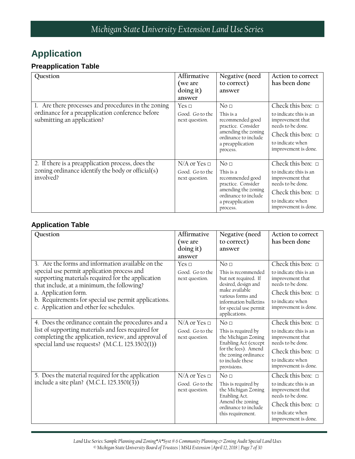### <span id="page-6-0"></span>**Application**

#### **Preapplication Table**

| Question                                                                                                                              | Affirmative<br>(we are<br>doing it)<br>answer            | Negative (need<br>to correct)<br>answer                                                                                                               | Action to correct<br>has been done                                                                                                                              |
|---------------------------------------------------------------------------------------------------------------------------------------|----------------------------------------------------------|-------------------------------------------------------------------------------------------------------------------------------------------------------|-----------------------------------------------------------------------------------------------------------------------------------------------------------------|
| 1. Are there processes and procedures in the zoning<br>ordinance for a preapplication conference before<br>submitting an application? | Yes $\Box$<br>Good. Go to the<br>next question.          | No <sub>1</sub><br>This is a<br>recommended good<br>practice. Consider<br>amending the zoning<br>ordinance to include<br>a preapplication<br>process. | Check this box: $\Box$<br>to indicate this is an<br>improvement that<br>needs to be done.<br>Check this box: $\Box$<br>to indicate when<br>improvement is done. |
| 2. If there is a preapplication process, does the<br>zoning ordinance identify the body or official(s)<br>involved?                   | $N/A$ or Yes $\Box$<br>Good. Go to the<br>next question. | No <sub>1</sub><br>This is a<br>recommended good<br>practice. Consider<br>amending the zoning<br>ordinance to include<br>a preapplication<br>process. | Check this box: $\Box$<br>to indicate this is an<br>improvement that<br>needs to be done.<br>Check this box: $\Box$<br>to indicate when<br>improvement is done. |

#### **Application Table**

| Question                                                                                                                                                                                                                                                                                                                      | Affirmative<br>(we are<br>doing it)<br>answer            | Negative (need<br>to correct)<br>answer                                                                                                                                                          | Action to correct<br>has been done                                                                                                                              |
|-------------------------------------------------------------------------------------------------------------------------------------------------------------------------------------------------------------------------------------------------------------------------------------------------------------------------------|----------------------------------------------------------|--------------------------------------------------------------------------------------------------------------------------------------------------------------------------------------------------|-----------------------------------------------------------------------------------------------------------------------------------------------------------------|
| 3. Are the forms and information available on the<br>special use permit application process and<br>supporting materials required for the application<br>that include, at a minimum, the following?<br>a. Application form.<br>b. Requirements for special use permit applications.<br>c. Application and other fee schedules. | Yes $\sqcap$<br>Good. Go to the<br>next question.        | No <sub>1</sub><br>This is recommended<br>but not required. If<br>desired, design and<br>make available<br>various forms and<br>information bulletins<br>for special use permit<br>applications. | Check this box: $\Box$<br>to indicate this is an<br>improvement that<br>needs to be done.<br>Check this box: $\Box$<br>to indicate when<br>improvement is done. |
| 4. Does the ordinance contain the procedures and a<br>list of supporting materials and fees required for<br>completing the application, review, and approval of<br>special land use requests? (M.C.L. 125.3502(1))                                                                                                            | $N/A$ or Yes $\Box$<br>Good. Go to the<br>next question. | $N_0 \square$<br>This is required by<br>the Michigan Zoning<br>Enabling Act (except<br>for the fees). Amend<br>the zoning ordinance<br>to include these<br>provisions.                           | Check this box: $\Box$<br>to indicate this is an<br>improvement that<br>needs to be done.<br>Check this box: $\Box$<br>to indicate when<br>improvement is done. |
| 5. Does the material required for the application<br>include a site plan? (M.C.L. 125.3501(3))                                                                                                                                                                                                                                | $N/A$ or Yes $\Box$<br>Good. Go to the<br>next question. | No <sub>□</sub><br>This is required by<br>the Michigan Zoning<br>Enabling Act.<br>Amend the zoning<br>ordinance to include<br>this requirement.                                                  | Check this box: $\Box$<br>to indicate this is an<br>improvement that<br>needs to be done.<br>Check this box: $\Box$<br>to indicate when<br>improvement is done. |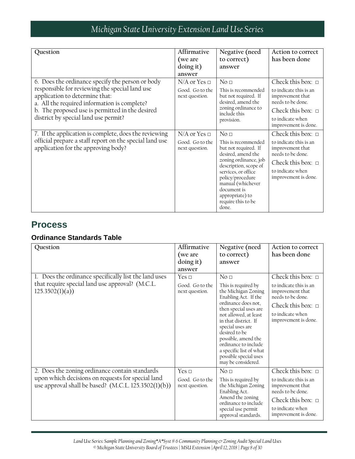| Question                                                                                                                                                                                                                                                                        | Affirmative<br>(we are<br>doing it)<br>answer            | Negative (need<br>to correct)<br>answer                                                                                                                                                                                                                                 | Action to correct<br>has been done                                                                                                                              |
|---------------------------------------------------------------------------------------------------------------------------------------------------------------------------------------------------------------------------------------------------------------------------------|----------------------------------------------------------|-------------------------------------------------------------------------------------------------------------------------------------------------------------------------------------------------------------------------------------------------------------------------|-----------------------------------------------------------------------------------------------------------------------------------------------------------------|
| 6. Does the ordinance specify the person or body<br>responsible for reviewing the special land use<br>application to determine that:<br>a. All the required information is complete?<br>b. The proposed use is permitted in the desired<br>district by special land use permit? | $N/A$ or Yes $\Box$<br>Good. Go to the<br>next question. | No <sub>□</sub><br>This is recommended<br>but not required. If<br>desired, amend the<br>zoning ordinance to<br>include this<br>provision.                                                                                                                               | Check this box: $\Box$<br>to indicate this is an<br>improvement that<br>needs to be done.<br>Check this box: $\Box$<br>to indicate when<br>improvement is done. |
| 7. If the application is complete, does the reviewing<br>official prepare a staff report on the special land use<br>application for the approving body?                                                                                                                         | $N/A$ or Yes $\Box$<br>Good. Go to the<br>next question. | No <sub>□</sub><br>This is recommended<br>but not required. If<br>desired, amend the<br>zoning ordinance, job<br>description, scope of<br>services, or office<br>policy/procedure<br>manual (whichever<br>document is<br>appropriate) to<br>require this to be<br>done. | Check this box: $\Box$<br>to indicate this is an<br>improvement that<br>needs to be done.<br>Check this box: $\Box$<br>to indicate when<br>improvement is done. |

### <span id="page-7-0"></span>**Process**

#### **Ordinance Standards Table**

| Question                                                                                                                                                      | Affirmative<br>(we are<br>doing it)<br>answer   | Negative (need<br>to correct)<br>answer                                                                                                                                                                                                                                                                                                              | Action to correct<br>has been done                                                                                                                              |
|---------------------------------------------------------------------------------------------------------------------------------------------------------------|-------------------------------------------------|------------------------------------------------------------------------------------------------------------------------------------------------------------------------------------------------------------------------------------------------------------------------------------------------------------------------------------------------------|-----------------------------------------------------------------------------------------------------------------------------------------------------------------|
| 1. Does the ordinance specifically list the land uses<br>that require special land use approval? (M.C.L.<br>125.3502(1)(a)                                    | Yes $\Box$<br>Good. Go to the<br>next question. | No <sub>□</sub><br>This is required by<br>the Michigan Zoning<br>Enabling Act. If the<br>ordinance does not,<br>then special uses are<br>not allowed, at least<br>in that district. If<br>special uses are<br>desired to be<br>possible, amend the<br>ordinance to include<br>a specific list of what<br>possible special uses<br>may be considered. | Check this box: $\Box$<br>to indicate this is an<br>improvement that<br>needs to be done.<br>Check this box: $\Box$<br>to indicate when<br>improvement is done. |
| 2. Does the zoning ordinance contain standards<br>upon which decisions on requests for special land<br>use approval shall be based? $(M.C.L. 125.3502(1)(b))$ | Yes $\Box$<br>Good. Go to the<br>next question. | No <sub>□</sub><br>This is required by<br>the Michigan Zoning<br>Enabling Act.<br>Amend the zoning<br>ordinance to include<br>special use permit<br>approval standards.                                                                                                                                                                              | Check this box: $\Box$<br>to indicate this is an<br>improvement that<br>needs to be done.<br>Check this box: $\Box$<br>to indicate when<br>improvement is done. |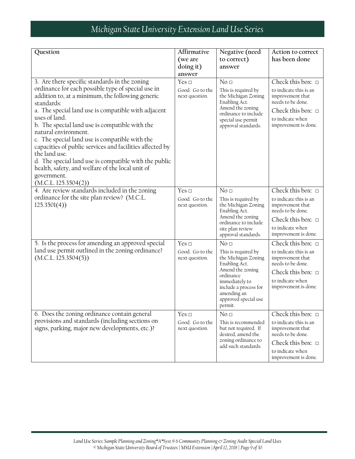| Question                                                                                                                                                                                                                                                                                                                                                                                                                                                                                                                                                                                                   | Affirmative<br>(we are<br>doing it)<br>answer     | Negative (need<br>to correct)<br>answer                                                                                                                                                                      | Action to correct<br>has been done                                                                                                                                 |
|------------------------------------------------------------------------------------------------------------------------------------------------------------------------------------------------------------------------------------------------------------------------------------------------------------------------------------------------------------------------------------------------------------------------------------------------------------------------------------------------------------------------------------------------------------------------------------------------------------|---------------------------------------------------|--------------------------------------------------------------------------------------------------------------------------------------------------------------------------------------------------------------|--------------------------------------------------------------------------------------------------------------------------------------------------------------------|
| 3. Are there specific standards in the zoning<br>ordinance for each possible type of special use in<br>addition to, at a minimum, the following generic<br>standards:<br>a. The special land use is compatible with adjacent<br>uses of land.<br>b. The special land use is compatible with the<br>natural environment.<br>c. The special land use is compatible with the<br>capacities of public services and facilities affected by<br>the land use.<br>d. The special land use is compatible with the public<br>health, safety, and welfare of the local unit of<br>government.<br>(M.C.L. 125.3504(2)) | Yes $\sqcap$<br>Good. Go to the<br>next question. | No <sub>1</sub><br>This is required by<br>the Michigan Zoning<br>Enabling Act.<br>Amend the zoning<br>ordinance to include<br>special use permit<br>approval standards.                                      | Check this box: $\Box$<br>to indicate this is an<br>improvement that<br>needs to be done.<br>Check this box: $\Box$<br>to indicate when<br>improvement is done.    |
| 4. Are review standards included in the zoning<br>ordinance for the site plan review? (M.C.L.<br>125.3501(4)                                                                                                                                                                                                                                                                                                                                                                                                                                                                                               | Yes $\Box$<br>Good. Go to the<br>next question.   | No <sub>□</sub><br>This is required by<br>the Michigan Zoning<br>Enabling Act.<br>Amend the zoning<br>ordinance to include<br>site plan review<br>approval standards.                                        | Check this box: $\Box$<br>to indicate this is an<br>improvement that<br>needs to be done.<br>Check this box: $\Box$<br>to indicate when<br>improvement is done.    |
| 5. Is the process for amending an approved special<br>land use permit outlined in the zoning ordinance?<br>(M.C.L. 125.3504(5))                                                                                                                                                                                                                                                                                                                                                                                                                                                                            | Yes $\sqcap$<br>Good. Go to the<br>next question. | No <sub>□</sub><br>This is required by<br>the Michigan Zoning<br>Enabling Act.<br>Amend the zoning<br>ordinance<br>immediately to<br>include a process for<br>amending an<br>approved special use<br>permit. | Check this box: $\Box$<br>to indicate this is an<br>improvement that<br>needs to be done.<br>Check this box: $\Box$<br>to indicate when<br>improvement is done.    |
| 6. Does the zoning ordinance contain general<br>provisions and standards (including sections on<br>signs, parking, major new developments, etc.)?                                                                                                                                                                                                                                                                                                                                                                                                                                                          | Yes $\Box$<br>Good. Go to the<br>next question.   | No <sub>□</sub><br>This is recommended<br>but not required. If<br>desired, amend the<br>zoning ordinance to<br>add such standards.                                                                           | Check this box: $\square$<br>to indicate this is an<br>improvement that<br>needs to be done.<br>Check this box: $\Box$<br>to indicate when<br>improvement is done. |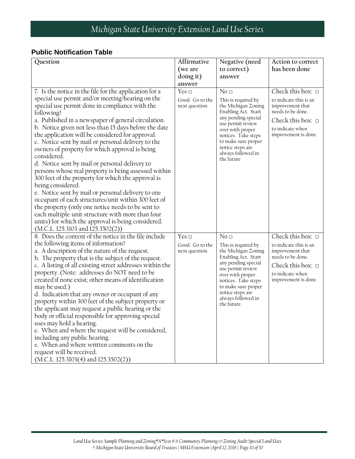#### **Public Notification Table**

| Question                                                                       | Affirmative     | Negative (need                             | Action to correct         |
|--------------------------------------------------------------------------------|-----------------|--------------------------------------------|---------------------------|
|                                                                                | (we are         | to correct)                                | has been done             |
|                                                                                | doing it)       | answer                                     |                           |
|                                                                                | answer          |                                            |                           |
| 7. Is the notice in the file for the application for a                         | Yes $\Box$      | No <sub>□</sub>                            | Check this box: $\square$ |
| special use permit and/or meeting/hearing on the                               | Good. Go to the | This is required by                        | to indicate this is an    |
| special use permit done in compliance with the                                 | next question.  | the Michigan Zoning                        | improvement that          |
| following?                                                                     |                 | Enabling Act. Start<br>any pending special | needs to be done.         |
| a. Published in a newspaper of general circulation.                            |                 | use permit review                          | Check this box: $\Box$    |
| b. Notice given not less than 15 days before the date                          |                 | over with proper                           | to indicate when          |
| the application will be considered for approval.                               |                 | notices. Take steps                        | improvement is done.      |
| c. Notice sent by mail or personal delivery to the                             |                 | to make sure proper<br>notice steps are    |                           |
| owners of property for which approval is being                                 |                 | always followed in                         |                           |
| considered.<br>d. Notice sent by mail or personal delivery to                  |                 | the future                                 |                           |
| persons whose real property is being assessed within                           |                 |                                            |                           |
| 300 feet of the property for which the approval is                             |                 |                                            |                           |
| being considered.                                                              |                 |                                            |                           |
| e. Notice sent by mail or personal delivery to one                             |                 |                                            |                           |
| occupant of each structures/unit within 300 feet of                            |                 |                                            |                           |
| the property (only one notice needs to be sent to                              |                 |                                            |                           |
| each multiple-unit structure with more than four                               |                 |                                            |                           |
| units) for which the approval is being considered.                             |                 |                                            |                           |
| (M.C.L. 125.3103 and 125.3502(2))                                              |                 |                                            |                           |
| 8. Does the content of the notice in the file include                          | Yes $\square$   | No <sub>□</sub>                            | Check this box: $\square$ |
| the following items of information?                                            | Good. Go to the | This is required by                        | to indicate this is an    |
| a. A description of the nature of the request.                                 | next question.  | the Michigan Zoning                        | improvement that          |
| b. The property that is the subject of the request.                            |                 | Enabling Act. Start                        | needs to be done.         |
| c. A listing of all existing street addresses within the                       |                 | any pending special<br>use permit review   | Check this box: $\Box$    |
| property. (Note: addresses do NOT need to be                                   |                 | over with proper                           | to indicate when          |
| created if none exist; other means of identification                           |                 | notices. Take steps                        | improvement is done.      |
| may be used.)                                                                  |                 | to make sure proper<br>notice steps are    |                           |
| d. Indication that any owner or occupant of any                                |                 | always followed in                         |                           |
| property within 300 feet of the subject property or                            |                 | the future.                                |                           |
| the applicant may request a public hearing or the                              |                 |                                            |                           |
| body or official responsible for approving special<br>uses may hold a hearing. |                 |                                            |                           |
| e. When and where the request will be considered,                              |                 |                                            |                           |
| including any public hearing.                                                  |                 |                                            |                           |
| e. When and where written comments on the                                      |                 |                                            |                           |
| request will be received.                                                      |                 |                                            |                           |
| (M.C.L. 125.3103(4) and 125.3502(2))                                           |                 |                                            |                           |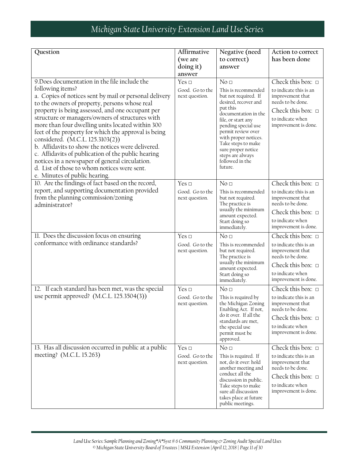| Question<br>9. Does documentation in the file include the<br>following items?                                                                                                                                                                                                                                                                                                                                                                                                                                                                                                                               | Affirmative<br>(we are<br>doing it)<br>answer<br>Yes $\Box$<br>Good. Go to the | Negative (need<br>to correct)<br>answer<br>No <sub>□</sub><br>This is recommended                                                                                                                                                                                         | Action to correct<br>has been done<br>Check this box: $\square$<br>to indicate this is an                                             |
|-------------------------------------------------------------------------------------------------------------------------------------------------------------------------------------------------------------------------------------------------------------------------------------------------------------------------------------------------------------------------------------------------------------------------------------------------------------------------------------------------------------------------------------------------------------------------------------------------------------|--------------------------------------------------------------------------------|---------------------------------------------------------------------------------------------------------------------------------------------------------------------------------------------------------------------------------------------------------------------------|---------------------------------------------------------------------------------------------------------------------------------------|
| a. Copies of notices sent by mail or personal delivery<br>to the owners of property, persons whose real<br>property is being assessed, and one occupant per<br>structure or managers/owners of structures with<br>more than four dwelling units located within 300<br>feet of the property for which the approval is being<br>considered. (M.C.L. 125.3103(2))<br>b. Affidavits to show the notices were delivered.<br>c. Affidavits of publication of the public hearing<br>notices in a newspaper of general circulation.<br>d. List of those to whom notices were sent.<br>e. Minutes of public hearing. | next question.                                                                 | but not required. If<br>desired, recover and<br>put this<br>documentation in the<br>file, or start any<br>pending special use<br>permit review over<br>with proper notices.<br>Take steps to make<br>sure proper notice<br>steps are always<br>followed in the<br>future. | improvement that<br>needs to be done.<br>Check this box: $\Box$<br>to indicate when<br>improvement is done.                           |
| 10. Are the findings of fact based on the record,                                                                                                                                                                                                                                                                                                                                                                                                                                                                                                                                                           | Yes $\Box$                                                                     | No <sub>□</sub>                                                                                                                                                                                                                                                           | Check this box: $\Box$                                                                                                                |
| report, and supporting documentation provided<br>from the planning commission/zoning<br>administrator?                                                                                                                                                                                                                                                                                                                                                                                                                                                                                                      | Good. Go to the<br>next question.                                              | This is recommended<br>but not required.<br>The practice is                                                                                                                                                                                                               | to indicate this is an<br>improvement that<br>needs to be done.                                                                       |
|                                                                                                                                                                                                                                                                                                                                                                                                                                                                                                                                                                                                             |                                                                                | usually the minimum<br>amount expected.                                                                                                                                                                                                                                   | Check this box: $\Box$                                                                                                                |
|                                                                                                                                                                                                                                                                                                                                                                                                                                                                                                                                                                                                             |                                                                                | Start doing so<br>immediately.                                                                                                                                                                                                                                            | to indicate when<br>improvement is done.                                                                                              |
| 11. Does the discussion focus on ensuring                                                                                                                                                                                                                                                                                                                                                                                                                                                                                                                                                                   | Yes $\Box$                                                                     | No <sub>1</sub>                                                                                                                                                                                                                                                           | Check this box: $\Box$                                                                                                                |
| conformance with ordinance standards?                                                                                                                                                                                                                                                                                                                                                                                                                                                                                                                                                                       | Good. Go to the<br>next question.                                              | This is recommended<br>but not required.<br>The practice is                                                                                                                                                                                                               | to indicate this is an<br>improvement that<br>needs to be done.                                                                       |
|                                                                                                                                                                                                                                                                                                                                                                                                                                                                                                                                                                                                             |                                                                                | usually the minimum<br>amount expected.                                                                                                                                                                                                                                   | Check this box: $\Box$                                                                                                                |
|                                                                                                                                                                                                                                                                                                                                                                                                                                                                                                                                                                                                             |                                                                                | Start doing so<br>immediately.                                                                                                                                                                                                                                            | to indicate when<br>improvement is done.                                                                                              |
| 12. If each standard has been met, was the special                                                                                                                                                                                                                                                                                                                                                                                                                                                                                                                                                          | Yes $\Box$                                                                     | No <sub>□</sub>                                                                                                                                                                                                                                                           | Check this box: $\Box$                                                                                                                |
| use permit approved? (M.C.L. 125.3504(3))                                                                                                                                                                                                                                                                                                                                                                                                                                                                                                                                                                   | Good. Go to the<br>next question.                                              | This is required by<br>the Michigan Zoning<br>Enabling Act. If not,                                                                                                                                                                                                       | to indicate this is an<br>improvement that<br>needs to be done.                                                                       |
|                                                                                                                                                                                                                                                                                                                                                                                                                                                                                                                                                                                                             |                                                                                | do it over. If all the<br>standards are met,                                                                                                                                                                                                                              | Check this box: $\Box$                                                                                                                |
|                                                                                                                                                                                                                                                                                                                                                                                                                                                                                                                                                                                                             |                                                                                | the special use<br>permit must be<br>approved.                                                                                                                                                                                                                            | to indicate when<br>improvement is done.                                                                                              |
| 13. Has all discussion occurred in public at a public                                                                                                                                                                                                                                                                                                                                                                                                                                                                                                                                                       | Yes $\Box$                                                                     | No <sub>□</sub>                                                                                                                                                                                                                                                           | Check this box: $\Box$                                                                                                                |
| meeting? (M.C.L. 15.263)                                                                                                                                                                                                                                                                                                                                                                                                                                                                                                                                                                                    | Good. Go to the<br>next question.                                              | This is required. If<br>not, do it over: hold<br>another meeting and<br>conduct all the<br>discussion in public.<br>Take steps to make<br>sure all discussion<br>takes place at future<br>public meetings.                                                                | to indicate this is an<br>improvement that<br>needs to be done.<br>Check this box: $\Box$<br>to indicate when<br>improvement is done. |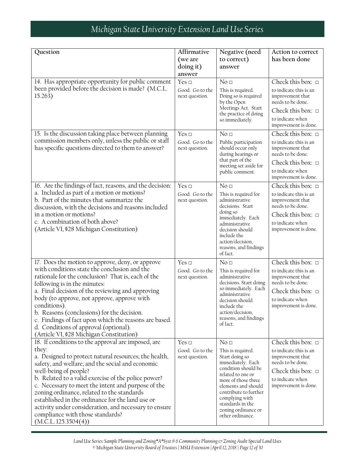| Question<br>14. Has appropriate opportunity for public comment<br>been provided before the decision is made? (M.C.L.<br>15.263)<br>15. Is the discussion taking place between planning                                                                                                                                                                                                                                                                                                                                                | Affirmative<br>(we are<br>doing it)<br>answer<br>Yes $\Box$<br>Good. Go to the<br>next question.<br>Yes $\Box$ | Negative (need<br>to correct)<br>answer<br>No <sub>□</sub><br>This is required.<br>Doing so is required<br>by the Open<br>Meetings Act. Start<br>the practice of doing<br>so immediately.<br>No <sub>□</sub>                                                                    | Action to correct<br>has been done<br>Check this box: $\square$<br>to indicate this is an<br>improvement that<br>needs to be done.<br>Check this box: $\square$<br>to indicate when<br>improvement is done.<br>Check this box: $\Box$ |
|---------------------------------------------------------------------------------------------------------------------------------------------------------------------------------------------------------------------------------------------------------------------------------------------------------------------------------------------------------------------------------------------------------------------------------------------------------------------------------------------------------------------------------------|----------------------------------------------------------------------------------------------------------------|---------------------------------------------------------------------------------------------------------------------------------------------------------------------------------------------------------------------------------------------------------------------------------|---------------------------------------------------------------------------------------------------------------------------------------------------------------------------------------------------------------------------------------|
| commission members only, unless the public or staff<br>has specific questions directed to them to answer?                                                                                                                                                                                                                                                                                                                                                                                                                             | Good. Go to the<br>next question.                                                                              | Public participation<br>should occur only<br>during hearings or<br>that part of the<br>meeting set aside for<br>public comment.                                                                                                                                                 | to indicate this is an<br>improvement that<br>needs to be done.<br>Check this box: $\Box$<br>to indicate when<br>improvement is done.                                                                                                 |
| 16. Are the findings of fact, reasons, and the decision:<br>a. Included as part of a motion or motions?<br>b. Part of the minutes that summarize the<br>discussion, with the decisions and reasons included<br>in a motion or motions?<br>c. A combination of both above?<br>(Article VI, \$28 Michigan Constitution)                                                                                                                                                                                                                 | Yes $\Box$<br>Good. Go to the<br>next question.                                                                | No <sub>□</sub><br>This is required for<br>administrative<br>decisions. Start<br>doing so<br>immediately. Each<br>administrative<br>decision should<br>include the<br>action/decision,<br>reasons, and findings<br>of fact.                                                     | Check this box: $\Box$<br>to indicate this is an<br>improvement that<br>needs to be done.<br>Check this box: $\Box$<br>to indicate when<br>improvement is done.                                                                       |
| 17. Does the motion to approve, deny, or approve<br>with conditions state the conclusion and the<br>rationale for the conclusion? That is, each of the<br>following is in the minutes:<br>a. Final decision of the reviewing and approving<br>body (to approve, not approve, approve with<br>conditions).<br>b. Reasons (conclusions) for the decision.<br>c. Findings of fact upon which the reasons are based.<br>d. Conditions of approval (optional).<br>(Article VI, \$28 Michigan Constitution)                                 | Yes $\Box$<br>Good. Go to the<br>next question.                                                                | No <sub>□</sub><br>This is required for<br>administrative<br>decisions. Start doing<br>so immediately. Each<br>administrative<br>decision should<br>include the<br>action/decision,<br>reasons, and findings<br>of fact.                                                        | Check this box: $\Box$<br>to indicate this is an<br>improvement that<br>needs to be done.<br>Check this box: $\Box$<br>to indicate when<br>improvement is done.                                                                       |
| 18. If conditions to the approval are imposed, are<br>they:<br>a. Designed to protect natural resources; the health,<br>safety, and welfare; and the social and economic<br>well-being of people?<br>b. Related to a valid exercise of the police power?<br>c. Necessary to meet the intent and purpose of the<br>zoning ordinance, related to the standards<br>established in the ordinance for the land use or<br>activity under consideration, and necessary to ensure<br>compliance with those standards?<br>(M.C.L. 125.3504(4)) | Yes $\Box$<br>Good. Go to the<br>next question.                                                                | No <sub>□</sub><br>This is required.<br>Start doing so<br>immediately. Each<br>condition should be<br>related to one or<br>more of those three<br>elements and should<br>contribute to further<br>complying with<br>standards in the<br>zoning ordinance or<br>other ordinance. | Check this box: $\Box$<br>to indicate this is an<br>improvement that<br>needs to be done.<br>Check this box: $\Box$<br>to indicate when<br>improvement is done.                                                                       |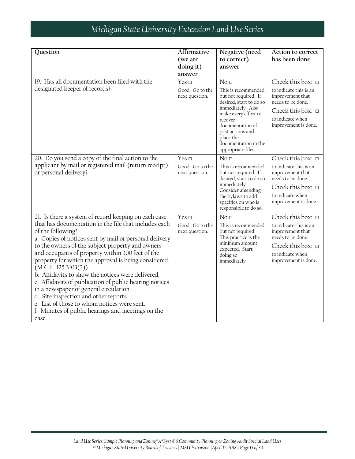| Question                                                                                                                                                                                                                                                                                                                                                                                                                                                                                                                                                                                                                                    | Affirmative                       | Negative (need                                                                                                                                                                   | Action to correct                                                                                                                     |
|---------------------------------------------------------------------------------------------------------------------------------------------------------------------------------------------------------------------------------------------------------------------------------------------------------------------------------------------------------------------------------------------------------------------------------------------------------------------------------------------------------------------------------------------------------------------------------------------------------------------------------------------|-----------------------------------|----------------------------------------------------------------------------------------------------------------------------------------------------------------------------------|---------------------------------------------------------------------------------------------------------------------------------------|
|                                                                                                                                                                                                                                                                                                                                                                                                                                                                                                                                                                                                                                             | (we are                           | to correct)                                                                                                                                                                      | has been done                                                                                                                         |
|                                                                                                                                                                                                                                                                                                                                                                                                                                                                                                                                                                                                                                             | doing it)                         | answer                                                                                                                                                                           |                                                                                                                                       |
|                                                                                                                                                                                                                                                                                                                                                                                                                                                                                                                                                                                                                                             | answer                            |                                                                                                                                                                                  |                                                                                                                                       |
| 19. Has all documentation been filed with the                                                                                                                                                                                                                                                                                                                                                                                                                                                                                                                                                                                               | Yes $\Box$                        | No <sub>1</sub>                                                                                                                                                                  | Check this box: $\Box$                                                                                                                |
| designated keeper of records?                                                                                                                                                                                                                                                                                                                                                                                                                                                                                                                                                                                                               | Good. Go to the<br>next question. | This is recommended<br>but not required. If<br>desired, start to do so                                                                                                           | to indicate this is an<br>improvement that<br>needs to be done.                                                                       |
|                                                                                                                                                                                                                                                                                                                                                                                                                                                                                                                                                                                                                                             |                                   | immediately. Also<br>make every effort to<br>recover<br>documentation of<br>past actions and<br>place the<br>documentation in the<br>appropriate files.                          | Check this box: $\Box$<br>to indicate when<br>improvement is done.                                                                    |
| 20. Do you send a copy of the final action to the                                                                                                                                                                                                                                                                                                                                                                                                                                                                                                                                                                                           | Yes $\Box$                        | No <sub>□</sub>                                                                                                                                                                  | Check this box: $\square$                                                                                                             |
| applicant by mail or registered mail (return receipt)<br>or personal delivery?                                                                                                                                                                                                                                                                                                                                                                                                                                                                                                                                                              | Good. Go to the<br>next question. | This is recommended<br>but not required. If<br>desired, start to do so<br>immediately.<br>Consider amending<br>the bylaws to add<br>specifics on who is<br>responsible to do so. | to indicate this is an<br>improvement that<br>needs to be done.<br>Check this box: $\Box$<br>to indicate when<br>improvement is done. |
| 21. Is there a system of record keeping on each case                                                                                                                                                                                                                                                                                                                                                                                                                                                                                                                                                                                        | Yes $\Box$                        | No <sub>1</sub>                                                                                                                                                                  | Check this box: $\Box$                                                                                                                |
| that has documentation in the file that includes each<br>of the following?<br>a. Copies of notices sent by mail or personal delivery<br>to the owners of the subject property and owners<br>and occupants of property within 300 feet of the<br>property for which the approval is being considered.<br>(M.C.L. 125.3103(2))<br>b. Affidavits to show the notices were delivered.<br>c. Affidavits of publication of public hearing notices<br>in a newspaper of general circulation.<br>d. Site inspection and other reports.<br>e. List of those to whom notices were sent.<br>f. Minutes of public hearings and meetings on the<br>case. | Good. Go to the<br>next question. | This is recommended<br>but not required.<br>This practice is the<br>minimum amount<br>expected. Start<br>doing so<br>immediately.                                                | to indicate this is an<br>improvement that<br>needs to be done.<br>Check this box: $\Box$<br>to indicate when<br>improvement is done. |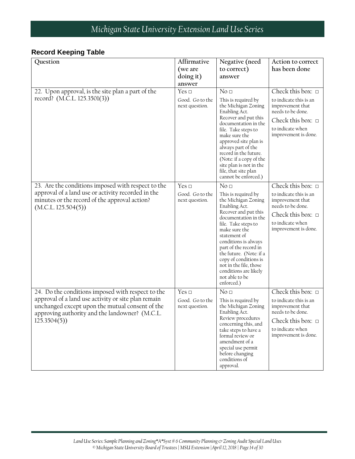#### **Record Keeping Table**

| Question                                                                                                                                                                                                                     | Affirmative<br>(we are<br>doing it)<br>answer   | Negative (need<br>to correct)<br>answer                                                                                                                                                                                                                                                                                                                                        | Action to correct<br>has been done                                                                                                                                    |
|------------------------------------------------------------------------------------------------------------------------------------------------------------------------------------------------------------------------------|-------------------------------------------------|--------------------------------------------------------------------------------------------------------------------------------------------------------------------------------------------------------------------------------------------------------------------------------------------------------------------------------------------------------------------------------|-----------------------------------------------------------------------------------------------------------------------------------------------------------------------|
| 22. Upon approval, is the site plan a part of the<br>record? (M.C.L. 125.3501(3))                                                                                                                                            | Yes $\Box$<br>Good. Go to the<br>next question. | No <sub>□</sub><br>This is required by<br>the Michigan Zoning<br>Enabling Act.<br>Recover and put this<br>documentation in the<br>file. Take steps to<br>make sure the<br>approved site plan is<br>always part of the<br>record in the future.<br>(Note: if a copy of the<br>site plan is not in the<br>file, that site plan<br>cannot be enforced.)                           | Check this box: $\Box$<br>to indicate this is an<br>improvement that<br>needs to be done.<br>Check this box: $\Box$<br>to indicate when<br>improvement is done.       |
| 23. Are the conditions imposed with respect to the<br>approval of a land use or activity recorded in the<br>minutes or the record of the approval action?<br>(M.C.L. 125.504(5))                                             | Yes $\Box$<br>Good. Go to the<br>next question. | No <sub>□</sub><br>This is required by<br>the Michigan Zoning<br>Enabling Act.<br>Recover and put this<br>documentation in the<br>file. Take steps to<br>make sure the<br>statement of<br>conditions is always<br>part of the record in<br>the future. (Note: if a<br>copy of conditions is<br>not in the file, those<br>conditions are likely<br>not able to be<br>enforced.) | Check this box: $\Box$<br>to indicate this is an<br>improvement that<br>needs to be done.<br>Check this box: $\Box$<br>to indicate when<br>improvement is done.       |
| 24. Do the conditions imposed with respect to the<br>approval of a land use activity or site plan remain<br>unchanged except upon the mutual consent of the<br>approving authority and the landowner? (M.C.L.<br>125.3504(5) | Yes $\Box$<br>Good. Go to the<br>next question. | No <sub>□</sub><br>This is required by<br>the Michigan Zoning<br>Enabling Act.<br>Review procedures<br>concerning this, and<br>take steps to have a<br>formal review or<br>amendment of a<br>special use permit<br>before changing<br>conditions of<br>approval.                                                                                                               | Check this box: $\square$<br>to indicate this is an<br>improvement that<br>needs to be done.<br>Check this box: $\square$<br>to indicate when<br>improvement is done. |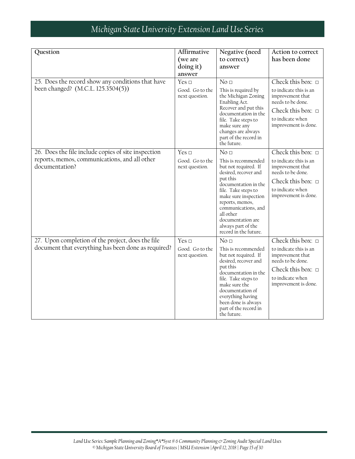| Question                                                                                | Affirmative<br>(we are            | Negative (need<br>to correct)                                                                                                                                                                                                                                                     | Action to correct<br>has been done                                                                                                    |
|-----------------------------------------------------------------------------------------|-----------------------------------|-----------------------------------------------------------------------------------------------------------------------------------------------------------------------------------------------------------------------------------------------------------------------------------|---------------------------------------------------------------------------------------------------------------------------------------|
|                                                                                         | doing it)<br>answer               | answer                                                                                                                                                                                                                                                                            |                                                                                                                                       |
| 25. Does the record show any conditions that have<br>been changed? (M.C.L. 125.3504(5)) | Yes $\Box$                        | No <sub>□</sub>                                                                                                                                                                                                                                                                   | Check this box: $\Box$                                                                                                                |
|                                                                                         | Good. Go to the<br>next question. | This is required by<br>the Michigan Zoning<br>Enabling Act.<br>Recover and put this<br>documentation in the<br>file. Take steps to<br>make sure any<br>changes are always<br>part of the record in<br>the future.                                                                 | to indicate this is an<br>improvement that<br>needs to be done.                                                                       |
|                                                                                         |                                   |                                                                                                                                                                                                                                                                                   | Check this box: $\Box$<br>to indicate when<br>improvement is done.                                                                    |
| 26. Does the file include copies of site inspection                                     | Yes $\Box$                        | No <sub>□</sub>                                                                                                                                                                                                                                                                   | Check this box: $\Box$                                                                                                                |
| reports, memos, communications, and all other<br>documentation?                         | Good. Go to the<br>next question. | This is recommended<br>but not required. If<br>desired, recover and<br>put this<br>documentation in the<br>file. Take steps to<br>make sure inspection<br>reports, memos,<br>communications, and<br>all other<br>documentation are<br>always part of the<br>record in the future. | to indicate this is an<br>improvement that<br>needs to be done.<br>Check this box: $\Box$<br>to indicate when<br>improvement is done. |
| 27. Upon completion of the project, does the file                                       | Yes $\Box$                        | No <sub>□</sub>                                                                                                                                                                                                                                                                   | Check this box: $\Box$                                                                                                                |
| document that everything has been done as required?                                     | Good. Go to the<br>next question. | This is recommended<br>but not required. If<br>desired, recover and<br>put this<br>documentation in the<br>file. Take steps to<br>make sure the<br>documentation of<br>everything having<br>been done is always<br>part of the record in<br>the future.                           | to indicate this is an<br>improvement that<br>needs to be done.                                                                       |
|                                                                                         |                                   |                                                                                                                                                                                                                                                                                   | Check this box: $\Box$<br>to indicate when<br>improvement is done.                                                                    |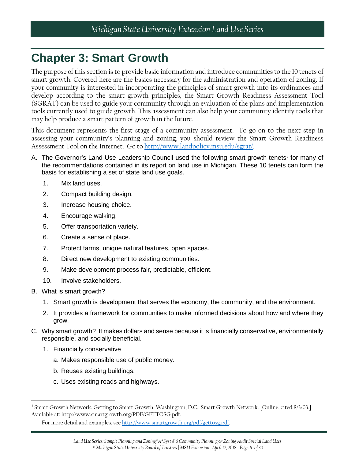## <span id="page-15-0"></span>**Chapter 3: Smart Growth**

The purpose of this section is to provide basic information and introduce communities to the 10 tenets of smart growth. Covered here are the basics necessary for the administration and operation of zoning. If your community is interested in incorporating the principles of smart growth into its ordinances and develop according to the smart growth principles, the Smart Growth Readiness Assessment Tool (SGRAT) can be used to guide your community through an evaluation of the plans and implementation tools currently used to guide growth. This assessment can also help your community identify tools that may help produce a smart pattern of growth in the future.

This document represents the first stage of a community assessment. To go on to the next step in assessing your community's planning and zoning, you should review the Smart Growth Readiness Assessment Tool on the Internet. Go to [http://www.landpolicy.msu.edu/sgrat/.](http://www.landpolicy.msu.edu/sgrat/)

- A. The Governor's Land Use Leadership Council used the following smart growth tenets<sup>[3](#page-15-1)</sup> for many of the recommendations contained in its report on land use in Michigan. These 10 tenets can form the basis for establishing a set of state land use goals.
	- 1. Mix land uses.
	- 2. Compact building design.
	- 3. Increase housing choice.
	- 4. Encourage walking.
	- 5. Offer transportation variety.
	- 6. Create a sense of place.
	- 7. Protect farms, unique natural features, open spaces.
	- 8. Direct new development to existing communities.
	- 9. Make development process fair, predictable, efficient.
	- 10. Involve stakeholders.
- B. What is smart growth?

l

- 1. Smart growth is development that serves the economy, the community, and the environment.
- 2. It provides a framework for communities to make informed decisions about how and where they grow.
- C. Why smart growth? It makes dollars and sense because it is financially conservative, environmentally responsible, and socially beneficial.
	- 1. Financially conservative
		- a. Makes responsible use of public money.
		- b. Reuses existing buildings.
		- c. Uses existing roads and highways.

<span id="page-15-1"></span><sup>3</sup> Smart Growth Network. Getting to Smart Growth. Washington, D.C.: Smart Growth Network. [Online, cited 8/3/03.] Available at: http://www.smartgrowth.org/PDF/GETTOSG.pdf.

For more detail and examples, se[e http://www.smartgrowth.org/pdf/gettosg.pdf.](http://www.smartgrowth.org/pdf/gettosg.pdf)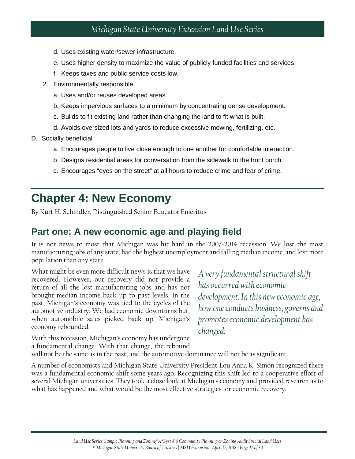- d. Uses existing water/sewer infrastructure.
- e. Uses higher density to maximize the value of publicly funded facilities and services.
- f. Keeps taxes and public service costs low.
- 2. Environmentally responsible
	- a. Uses and/or reuses developed areas.
	- b. Keeps impervious surfaces to a minimum by concentrating dense development.
	- c. Builds to fit existing land rather than changing the land to fit what is built.
	- d. Avoids oversized lots and yards to reduce excessive mowing, fertilizing, etc.
- D. Socially beneficial
	- a. Encourages people to live close enough to one another for comfortable interaction.
	- b. Designs residential areas for conversation from the sidewalk to the front porch.
	- c. Encourages "eyes on the street" at all hours to reduce crime and fear of crime.

### <span id="page-16-0"></span>**Chapter 4: New Economy**

By Kurt H. Schindler, Distinguished Senior Educator Emeritus

#### <span id="page-16-1"></span>**Part one: A new economic age and playing field**

It is not news to most that Michigan was hit hard in the 2007-2014 recession. We lost the most manufacturing jobs of any state, had the highest unemployment and falling median income, and lost more population than any state.

What might be even more difficult news is that we have recovered. However, our recovery did not provide a return of all the lost manufacturing jobs and has not brought median income back up to past levels. In the past, Michigan's economy was tied to the cycles of the automotive industry. We had economic downturns but, when automobile sales picked back up, Michigan's economy rebounded.

*A very fundamental structural shift has occurred with economic development. In this new economic age, how one conducts business, governs and promotes economic development has changed.*

With this recession, Michigan's economy has undergone a fundamental change. With that change, the rebound

will not be the same as in the past, and the automotive dominance will not be as significant.

A number of economists and Michigan State University President Lou Anna K. Simon recognized there was a fundamental economic shift some years ago. Recognizing this shift led to a cooperative effort of several Michigan universities. They took a close look at Michigan's economy and provided research as to what has happened and what would be the most effective strategies for economic recovery.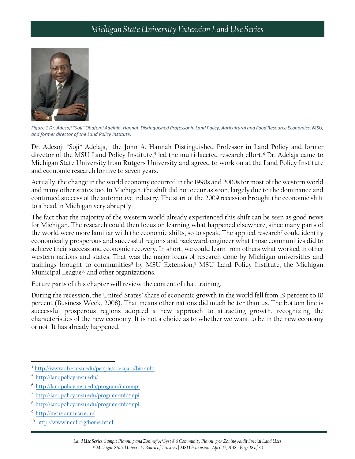

*Figure 1 Dr. Adesoji "Soji" Obafemi Adelaja, Hannah Distinguished Professor in Land Policy, Agricultural and Food Resource Economics, MSU, and former director of the Land Policy Institute.*

Dr. Adesoji "Soji" Adelaja,<sup>[4](#page-17-0)</sup> the John A. Hannah Distinguished Professor in Land Policy and former director of the MSU Land Policy Institute,<sup>[5](#page-17-1)</sup> led the multi-faceted research effort.<sup>[6](#page-17-2)</sup> Dr. Adelaja came to Michigan State University from Rutgers University and agreed to work on at the Land Policy Institute and economic research for five to seven years.

Actually, the change in the world economy occurred in the 1990s and 2000s for most of the western world and many other states too. In Michigan, the shift did not occur as soon, largely due to the dominance and continued success of the automotive industry. The start of the 2009 recession brought the economic shift to a head in Michigan very abruptly.

The fact that the majority of the western world already experienced this shift can be seen as good news for Michigan. The research could then focus on learning what happened elsewhere, since many parts of the world were more familiar with the economic shifts, so to speak. The applied research<sup>[7](#page-17-3)</sup> could identify economically prosperous and successful regions and backward-engineer what those communities did to achieve their success and economic recovery. In short, we could learn from others what worked in other western nations and states. That was the major focus of research done by Michigan universities and trainings brought to communities<sup>[8](#page-17-4)</sup> by MSU Extension,<sup>[9](#page-17-5)</sup> MSU Land Policy Institute, the Michigan Municipal League<sup>[10](#page-17-6)</sup> and other organizations.

Future parts of this chapter will review the content of that training.

During the recession, the United States' share of economic growth in the world fell from 19 percent to 10 percent (Business Week, 2008). That means other nations did much better than us. The bottom line is successful prosperous regions adopted a new approach to attracting growth, recognizing the characteristics of the new economy. It is not a choice as to whether we want to be in the new economy or not. It has already happened.

 $\overline{\phantom{a}}$ 

<span id="page-17-0"></span><sup>4</sup> [http://www.afre.msu.edu/people/adelaja\\_a/bio-info](http://www.afre.msu.edu/people/adelaja_a/bio-info)

<span id="page-17-1"></span><sup>5</sup> <http://landpolicy.msu.edu/>

<span id="page-17-2"></span><sup>6</sup> <http://landpolicy.msu.edu/program/info/mpi>

<span id="page-17-3"></span><sup>7</sup> <http://landpolicy.msu.edu/program/info/mpi>

<span id="page-17-4"></span><sup>8</sup> <http://landpolicy.msu.edu/program/info/mpi>

<span id="page-17-5"></span><sup>9</sup> <http://msue.anr.msu.edu/>

<span id="page-17-6"></span><sup>10</sup> <http://www.mml.org/home.html>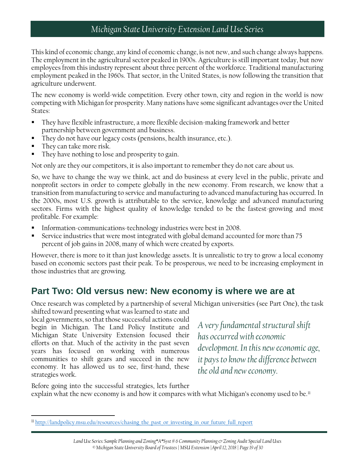This kind of economic change, any kind of economic change, is not new, and such change always happens. The employment in the agricultural sector peaked in 1900s. Agriculture is still important today, but now employees from this industry represent about three percent of the workforce. Traditional manufacturing employment peaked in the 1960s. That sector, in the United States, is now following the transition that agriculture underwent.

The new economy is world-wide competition. Every other town, city and region in the world is now competing with Michigan for prosperity. Many nations have some significant advantages over the United States:

- They have flexible infrastructure, a more flexible decision-making framework and better partnership between government and business.
- They do not have our legacy costs (pensions, health insurance, etc.).
- They can take more risk.

 $\overline{\phantom{a}}$ 

They have nothing to lose and prosperity to gain.

Not only are they our competitors, it is also important to remember they do not care about us.

So, we have to change the way we think, act and do business at every level in the public, private and nonprofit sectors in order to compete globally in the new economy. From research, we know that a transition from manufacturing to service and manufacturing to advanced manufacturing has occurred. In the 2000s, most U.S. growth is attributable to the service, knowledge and advanced manufacturing sectors. Firms with the highest quality of knowledge tended to be the fastest-growing and most profitable. For example:

- Information-communications-technology industries were best in 2008.
- Service industries that were most integrated with global demand accounted for more than 75 percent of job gains in 2008, many of which were created by exports.

However, there is more to it than just knowledge assets. It is unrealistic to try to grow a local economy based on economic sectors past their peak. To be prosperous, we need to be increasing employment in those industries that are growing.

### <span id="page-18-0"></span>**Part Two: Old versus new: New economy is where we are at**

Once research was completed by a partnership of several Michigan universities (see Part One), the task

shifted toward presenting what was learned to state and local governments, so that those successful actions could begin in Michigan. The Land Policy Institute and Michigan State University Extension focused their efforts on that. Much of the activity in the past seven years has focused on working with numerous communities to shift gears and succeed in the new economy. It has allowed us to see, first-hand, these strategies work.

*A very fundamental structural shift has occurred with economic development. In this new economic age, it pays to know the difference between the old and new economy.*

Before going into the successful strategies, lets further explain what the new economy is and how it compares with what Michigan's economy used to be.<sup>[11](#page-18-1)</sup>

<span id="page-18-1"></span> $11$  http://landpolicy.msu.edu/resources/chasing the past or investing in our future full report

*Land Use Series: Sample Planning and Zoning\*A\*Syst # 6 Community Planning & Zoning Audit Special Land Uses © Michigan State University Board of Trustees | MSU Extension |April 12, 2018 | Page 19 of 30*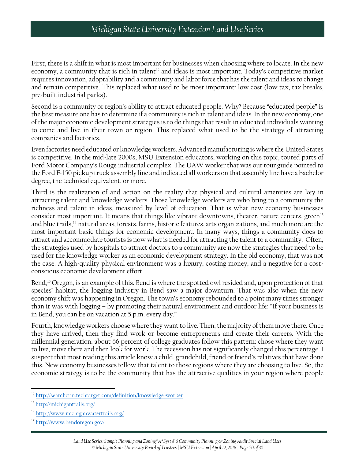First, there is a shift in what is most important for businesses when choosing where to locate. In the new economy, a community that is rich in talent<sup>[12](#page-19-0)</sup> and ideas is most important. Today's competitive market requires innovation, adoptability and a community and labor force that has the talent and ideas to change and remain competitive. This replaced what used to be most important: low cost (low tax, tax breaks, pre-built industrial parks).

Second is a community or region's ability to attract educated people. Why? Because "educated people" is the best measure one has to determine if a community is rich in talent and ideas. In the new economy, one of the major economic development strategies is to do things that result in educated individuals wanting to come and live in their town or region. This replaced what used to be the strategy of attracting companies and factories.

Even factories need educated or knowledge workers. Advanced manufacturing is where the United States is competitive. In the mid-late 2000s, MSU Extension educators, working on this topic, toured parts of Ford Motor Company's Rouge industrial complex. The UAW worker that was our tour guide pointed to the Ford F-150 pickup truck assembly line and indicated all workers on that assembly line have a bachelor degree, the technical equivalent, or more.

Third is the realization of and action on the reality that physical and cultural amenities are key in attracting talent and knowledge workers. Those knowledge workers are who bring to a community the richness and talent in ideas, measured by level of education. That is what new economy businesses consider most important. It means that things like vibrant downtowns, theater, nature centers, green<sup>[13](#page-19-1)</sup> and blue trails,[14](#page-19-2) natural areas, forests, farms, historic features, arts organizations, and much more are the most important basic things for economic development. In many ways, things a community does to attract and accommodate tourists is now what is needed for attracting the talent to a community. Often, the strategies used by hospitals to attract doctors to a community are now the strategies that need to be used for the knowledge worker as an economic development strategy. In the old economy, that was not the case. A high-quality physical environment was a luxury, costing money, and a negative for a costconscious economic development effort.

Bend,[15](#page-19-3) Oregon, is an example of this. Bend is where the spotted owl resided and, upon protection of that species' habitat, the logging industry in Bend saw a major downturn. That was also when the new economy shift was happening in Oregon. The town's economy rebounded to a point many times stronger than it was with logging – by promoting their natural environment and outdoor life: "If your business is in Bend, you can be on vacation at 5 p.m. every day."

Fourth, knowledge workers choose where they want to live. Then, the majority of them move there. Once they have arrived, then they find work or become entrepreneurs and create their careers. With the millennial generation, about 66 percent of college graduates follow this pattern: chose where they want to live, move there and then look for work. The recession has not significantly changed this percentage. I suspect that most reading this article know a child, grandchild, friend or friend's relatives that have done this. New economy businesses follow that talent to those regions where they are choosing to live. So, the economic strategy is to be the community that has the attractive qualities in your region where people

<span id="page-19-0"></span> $\overline{\phantom{a}}$ <sup>12</sup> <http://searchcrm.techtarget.com/definition/knowledge-worker>

<span id="page-19-1"></span><sup>13</sup> <http://michigantrails.org/>

<span id="page-19-2"></span><sup>14</sup> <http://www.michiganwatertrails.org/>

<span id="page-19-3"></span><sup>15</sup> <http://www.bendoregon.gov/>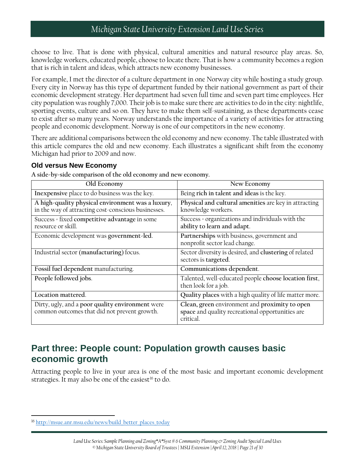choose to live. That is done with physical, cultural amenities and natural resource play areas. So, knowledge workers, educated people, choose to locate there. That is how a community becomes a region that is rich in talent and ideas, which attracts new economy businesses.

For example, I met the director of a culture department in one Norway city while hosting a study group. Every city in Norway has this type of department funded by their national government as part of their economic development strategy. Her department had seven full time and seven part time employees. Her city population was roughly 7,000. Their job is to make sure there are activities to do in the city: nightlife, sporting events, culture and so on. They have to make them self-sustaining, as these departments cease to exist after so many years. Norway understands the importance of a variety of activities for attracting people and economic development. Norway is one of our competitors in the new economy.

There are additional comparisons between the old economy and new economy. The table illustrated with this article compares the old and new economy. Each illustrates a significant shift from the economy Michigan had prior to 2009 and now.

#### **Old versus New Economy**

**A side-by-side comparison of the old economy and new economy.**

| Old Economy                                                                                              | New Economy                                                                                                     |  |
|----------------------------------------------------------------------------------------------------------|-----------------------------------------------------------------------------------------------------------------|--|
| Inexpensive place to do business was the key.                                                            | Being rich in talent and ideas is the key.                                                                      |  |
| A high-quality physical environment was a luxury,<br>in the way of attracting cost-conscious businesses. | Physical and cultural amenities are key in attracting<br>knowledge workers.                                     |  |
| Success = fixed competitive advantage in some<br>resource or skill.                                      | Success = organizations and individuals with the<br>ability to learn and adapt.                                 |  |
| Economic development was government-led.                                                                 | Partnerships with business, government and<br>nonprofit sector lead change.                                     |  |
| Industrial sector (manufacturing) focus.                                                                 | Sector diversity is desired, and clustering of related<br>sectors is targeted.                                  |  |
| Fossil fuel dependent manufacturing.                                                                     | Communications dependent.                                                                                       |  |
| People followed jobs.                                                                                    | Talented, well-educated people choose location first,<br>then look for a job.                                   |  |
| Location mattered.                                                                                       | Quality places with a high quality of life matter more.                                                         |  |
| Dirty, ugly, and a poor quality environment were<br>common outcomes that did not prevent growth.         | Clean, green environment and proximity to open<br>space and quality recreational opportunities are<br>critical. |  |

### <span id="page-20-0"></span>**Part three: People count: Population growth causes basic economic growth**

Attracting people to live in your area is one of the most basic and important economic development strategies. It may also be one of the easiest<sup>[16](#page-20-1)</sup> to do.

 $\overline{\phantom{a}}$ 

<span id="page-20-1"></span><sup>&</sup>lt;sup>16</sup> [http://msue.anr.msu.edu/news/build\\_better\\_places\\_today](http://msue.anr.msu.edu/news/build_better_places_today)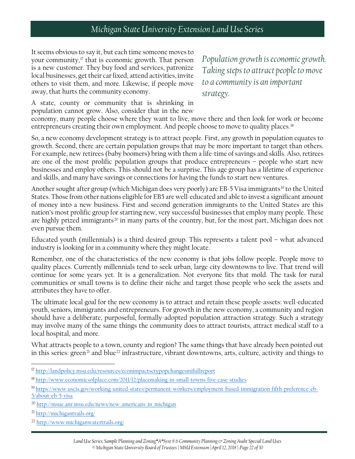It seems obvious to say it, but each time someone moves to your community,[17](#page-21-0) that is economic growth. That person is a new customer. They buy food and services, patronize local businesses, get their car fixed, attend activities, invite others to visit them, and more. Likewise, if people move away, that hurts the community economy.

*Population growth is economic growth. Taking steps to attract people to move to a community is an important strategy.*

A state, county or community that is shrinking in population cannot grow. Also, consider that in the new

economy, many people choose where they want to live, move there and then look for work or become entrepreneurs creating their own employment. And people choose to move to quality places.<sup>[18](#page-21-1)</sup>

So, a new economy development strategy is to attract people. First, any growth in population equates to growth. Second, there are certain population groups that may be more important to target than others. For example, new retirees (baby boomers) bring with them a life-time of savings and skills. Also, retirees are one of the most prolific population groups that produce entrepreneurs – people who start new businesses and employ others. This should not be a surprise. This age group has a lifetime of experience and skills, and many have savings or connections for having the funds to start new ventures.

Another sought after group (which Michigan does very poorly) are EB-5 Visa immigrants<sup>[19](#page-21-2)</sup> to the United States. Those from other nations eligible for EB5 are well-educated and able to invest a significant amount of money into a new business. First and second generation immigrants to the United States are this nation's most prolific group for starting new, very successful businesses that employ many people. These are highly prized immigrants<sup>[20](#page-21-3)</sup> in many parts of the country, but, for the most part, Michigan does not even pursue them.

Educated youth (millennials) is a third desired group. This represents a talent pool – what advanced industry is looking for in a community where they might locate.

Remember, one of the characteristics of the new economy is that jobs follow people. People move to quality places. Currently millennials tend to seek urban, large city downtowns to live. That trend will continue for some years yet. It is a generalization. Not everyone fits that mold. The task for rural communities or small towns is to define their niche and target those people who seek the assets and attributes they have to offer.

The ultimate local goal for the new economy is to attract and retain these people-assets: well-educated youth, seniors, immigrants and entrepreneurs. For growth in the new economy, a community and region should have a deliberate, purposeful, formally-adopted population attraction strategy. Such a strategy may involve many of the same things the community does to attract tourists, attract medical staff to a local hospital, and more.

What attracts people to a town, county and region? The same things that have already been pointed out in this series: green<sup>[21](#page-21-4)</sup> and blue<sup>[22](#page-21-5)</sup> infrastructure, vibrant downtowns, arts, culture, activity and things to

 $\overline{\phantom{a}}$ 

<span id="page-21-0"></span><sup>&</sup>lt;sup>17</sup> <http://landpolicy.msu.edu/resources/econimpactsctypopchangesmifullreport>

<span id="page-21-1"></span><sup>18</sup> <http://www.economicsofplace.com/2011/12/placemaking-in-small-towns-five-case-studies>

<span id="page-21-2"></span><sup>19</sup> [https://www.uscis.gov/working-united-states/permanent-workers/employment-based-immigration-fifth-preference-eb-](https://www.uscis.gov/working-united-states/permanent-workers/employment-based-immigration-fifth-preference-eb-5/about-eb-5-visa)[5/about-eb-5-visa](https://www.uscis.gov/working-united-states/permanent-workers/employment-based-immigration-fifth-preference-eb-5/about-eb-5-visa)

<span id="page-21-3"></span><sup>&</sup>lt;sup>20</sup> [http://msue.anr.msu.edu/news/new\\_americans\\_in\\_michigan](http://msue.anr.msu.edu/news/new_americans_in_michigan)

<span id="page-21-4"></span><sup>21</sup> <http://michigantrails.org/>

<span id="page-21-5"></span><sup>22</sup> <http://www.michiganwatertrails.org/>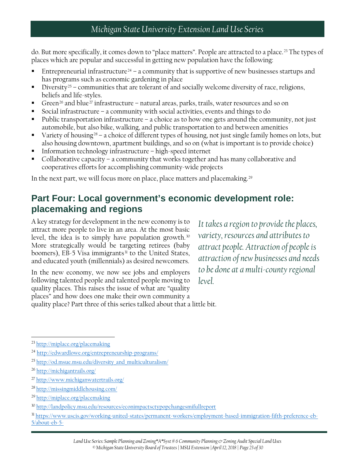do. But more specifically, it comes down to "place matters". People are attracted to a place.<sup>[23](#page-22-1)</sup> The types of places which are popular and successful in getting new population have the following:

- Entrepreneurial infrastructure<sup>[24](#page-22-2)</sup> a community that is supportive of new businesses startups and has programs such as economic gardening in place
- Diversity<sup>[25](#page-22-3)</sup> communities that are tolerant of and socially welcome diversity of race, religions, beliefs and life-styles.
- Green<sup>[26](#page-22-4)</sup> and blue<sup>[27](#page-22-5)</sup> infrastructure natural areas, parks, trails, water resources and so on
- Social infrastructure a community with social activities, events and things to do
- Public transportation infrastructure a choice as to how one gets around the community, not just automobile, but also bike, walking, and public transportation to and between amenities
- Variety of housing<sup>[28](#page-22-6)</sup> a choice of different types of housing, not just single family homes on lots, but also housing downtown, apartment buildings, and so on (what is important is to provide choice)
- Information technology infrastructure high-speed internet
- Collaborative capacity a community that works together and has many collaborative and cooperatives efforts for accomplishing community-wide projects

In the next part, we will focus more on place, place matters and placemaking.<sup>[29](#page-22-7)</sup>

### <span id="page-22-0"></span>**Part Four: Local government's economic development role: placemaking and regions**

A key strategy for development in the new economy is to attract more people to live in an area. At the most basic level, the idea is to simply have population growth. $30$ More strategically would be targeting retirees (baby boomers), EB-5 Visa immigrants<sup>[31](#page-22-9)</sup> to the United States, and educated youth (millennials) as desired newcomers.

In the new economy, we now see jobs and employers following talented people and talented people moving to quality places. This raises the issue of what are "quality places" and how does one make their own community a quality place? Part three of this series talked about that a little bit.

*It takes a region to provide the places, variety, resources and attributes to attract people. Attraction of people is attraction of new businesses and needs to be done at a multi-county regional level.*

 $\overline{\phantom{a}}$ 

<span id="page-22-6"></span><sup>28</sup> <http://missingmiddlehousing.com/>

<span id="page-22-1"></span><sup>23</sup> <http://miplace.org/placemaking>

<span id="page-22-2"></span><sup>24</sup> <http://edwardlowe.org/entrepreneurship-programs/>

<span id="page-22-3"></span><sup>&</sup>lt;sup>25</sup> [http://od.msue.msu.edu/diversity\\_and\\_multiculturalism/](http://od.msue.msu.edu/diversity_and_multiculturalism/)

<span id="page-22-4"></span><sup>26</sup> <http://michigantrails.org/>

<span id="page-22-5"></span><sup>27</sup> <http://www.michiganwatertrails.org/>

<span id="page-22-7"></span><sup>29</sup> <http://miplace.org/placemaking>

<span id="page-22-8"></span><sup>30</sup> <http://landpolicy.msu.edu/resources/econimpactsctypopchangesmifullreport>

<span id="page-22-9"></span><sup>31</sup> [https://www.uscis.gov/working-united-states/permanent-workers/employment-based-immigration-fifth-preference-eb-](https://www.uscis.gov/working-united-states/permanent-workers/employment-based-immigration-fifth-preference-eb-5/about-eb-5-)[5/about-eb-5-](https://www.uscis.gov/working-united-states/permanent-workers/employment-based-immigration-fifth-preference-eb-5/about-eb-5-)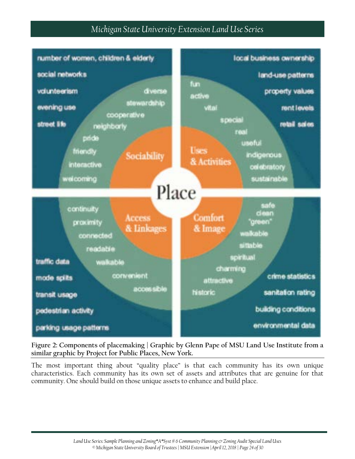

**Figure 2: Components of placemaking | Graphic by Glenn Pape of MSU Land Use Institute from a similar graphic by Project for Public Places, New York.**

The most important thing about "quality place" is that each community has its own unique characteristics. Each community has its own set of assets and attributes that are genuine for that community. One should build on those unique assets to enhance and build place.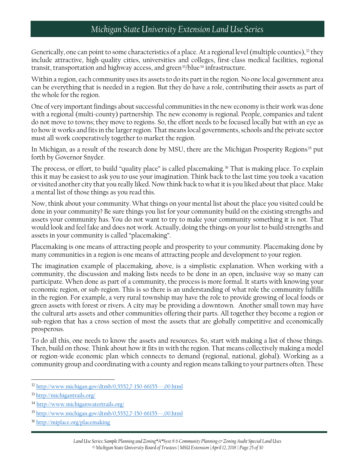Generically, one can point to some characteristics of a place. At a regional level (multiple counties),  $32$  they include attractive, high-quality cities, universities and colleges, first-class medical facilities, regional transit, transportation and highway access, and green<sup>[33](#page-24-1)</sup>/blue<sup>[34](#page-24-2)</sup> infrastructure.

Within a region, each community uses its assets to do its part in the region. No one local government area can be everything that is needed in a region. But they do have a role, contributing their assets as part of the whole for the region.

One of very important findings about successful communities in the new economy is their work was done with a regional (multi-county) partnership. The new economy is regional. People, companies and talent do not move to towns; they move to regions. So, the effort needs to be focused locally but with an eye as to how it works and fits in the larger region. That means local governments, schools and the private sector must all work cooperatively together to market the region.

In Michigan, as a result of the research done by MSU, there are the Michigan Prosperity Regions<sup>[35](#page-24-3)</sup> put forth by Governor Snyder.

The process, or effort, to build "quality place" is called placemaking.<sup>[36](#page-24-4)</sup> That is making place. To explain this it may be easiest to ask you to use your imagination. Think back to the last time you took a vacation or visited another city that you really liked. Now think back to what it is you liked about that place. Make a mental list of those things as you read this.

Now, think about your community. What things on your mental list about the place you visited could be done in your community? Be sure things you list for your community build on the existing strengths and assets your community has. You do not want to try to make your community something it is not. That would look and feel fake and does not work. Actually, doing the things on your list to build strengths and assets in your community is called "placemaking".

Placemaking is one means of attracting people and prosperity to your community. Placemaking done by many communities in a region is one means of attracting people and development to your region.

The imagination example of placemaking, above, is a simplistic explanation. When working with a community, the discussion and making lists needs to be done in an open, inclusive way so many can participate. When done as part of a community, the process is more formal. It starts with knowing your economic region, or sub-region. This is so there is an understanding of what role the community fulfills in the region. For example, a very rural township may have the role to provide growing of local foods or green assets with forest or rivers. A city may be providing a downtown. Another small town may have the cultural arts assets and other communities offering their parts. All together they become a region or sub-region that has a cross section of most the assets that are globally competitive and economically prosperous.

To do all this, one needs to know the assets and resources. So, start with making a list of those things. Then, build on those. Think about how it fits in with the region. That means collectively making a model or region-wide economic plan which connects to demand (regional, national, global). Working as a community group and coordinating with a county and region means talking to your partners often. These

<span id="page-24-0"></span>l <sup>32</sup> <http://www.michigan.gov/dtmb/0,5552,7-150-66155---,00.html>

<span id="page-24-1"></span><sup>33</sup> <http://michigantrails.org/>

<span id="page-24-2"></span><sup>34</sup> <http://www.michiganwatertrails.org/>

<span id="page-24-3"></span><sup>35</sup> <http://www.michigan.gov/dtmb/0,5552,7-150-66155---,00.html>

<span id="page-24-4"></span><sup>&</sup>lt;sup>36</sup> <http://miplace.org/placemaking>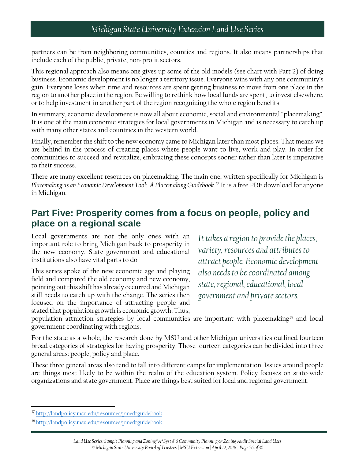partners can be from neighboring communities, counties and regions. It also means partnerships that include each of the public, private, non-profit sectors.

This regional approach also means one gives up some of the old models (see chart with Part 2) of doing business. Economic development is no longer a territory issue. Everyone wins with any one community's gain. Everyone loses when time and resources are spent getting business to move from one place in the region to another place in the region. Be willing to rethink how local funds are spent, to invest elsewhere, or to help investment in another part of the region recognizing the whole region benefits.

In summary, economic development is now all about economic, social and environmental "placemaking". It is one of the main economic strategies for local governments in Michigan and is necessary to catch up with many other states and countries in the western world.

Finally, remember the shift to the new economy came to Michigan later than most places. That means we are behind in the process of creating places where people want to live, work and play. In order for communities to succeed and revitalize, embracing these concepts sooner rather than later is imperative to their success.

There are many excellent resources on placemaking. The main one, written specifically for Michigan is *Placemaking as an Economic Development Tool: A Placemaking Guidebook*. [37](#page-25-1) It is a free PDF download for anyone in Michigan.

### <span id="page-25-0"></span>**Part Five: Prosperity comes from a focus on people, policy and place on a regional scale**

Local governments are not the only ones with an important role to bring Michigan back to prosperity in the new economy. State government and educational institutions also have vital parts to do.

This series spoke of the new economic age and playing field and compared the old economy and new economy, pointing out this shift has already occurred and Michigan still needs to catch up with the change. The series then focused on the importance of attracting people and stated that population growth is economic growth. Thus,

*It takes a region to provide the places, variety, resources and attributes to attract people. Economic development also needs to be coordinated among state, regional, educational, local government and private sectors.*

population attraction strategies by local communities are important with placemaking<sup>[38](#page-25-2)</sup> and local government coordinating with regions.

For the state as a whole, the research done by MSU and other Michigan universities outlined fourteen broad categories of strategies for having prosperity. Those fourteen categories can be divided into three general areas: people, policy and place.

These three general areas also tend to fall into different camps for implementation. Issues around people are things most likely to be within the realm of the education system. Policy focuses on state-wide organizations and state government. Place are things best suited for local and regional government.

l

<span id="page-25-1"></span><sup>&</sup>lt;sup>37</sup> <http://landpolicy.msu.edu/resources/pmedtguidebook>

<span id="page-25-2"></span><sup>38</sup> <http://landpolicy.msu.edu/resources/pmedtguidebook>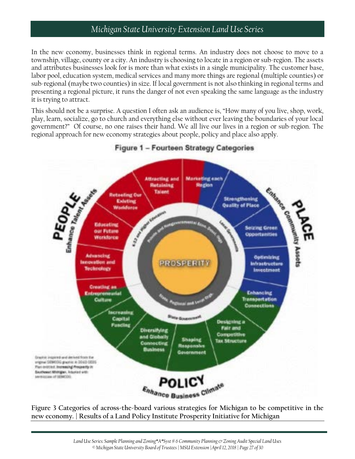In the new economy, businesses think in regional terms. An industry does not choose to move to a township, village, county or a city. An industry is choosing to locate in a region or sub-region. The assets and attributes businesses look for is more than what exists in a single municipality. The customer base, labor pool, education system, medical services and many more things are regional (multiple counties) or sub-regional (maybe two counties) in size. If local government is not also thinking in regional terms and presenting a regional picture, it runs the danger of not even speaking the same language as the industry it is trying to attract.

This should not be a surprise. A question I often ask an audience is, "How many of you live, shop, work, play, learn, socialize, go to church and everything else without ever leaving the boundaries of your local government?" Of course, no one raises their hand. We all live our lives in a region or sub-region. The regional approach for new economy strategies about people, policy and place also apply.



#### Figure 1 - Fourteen Strategy Categories

**Figure 3 Categories of across-the-board various strategies for Michigan to be competitive in the new economy. | Results of a Land Policy Institute Prosperity Initiative for Michigan**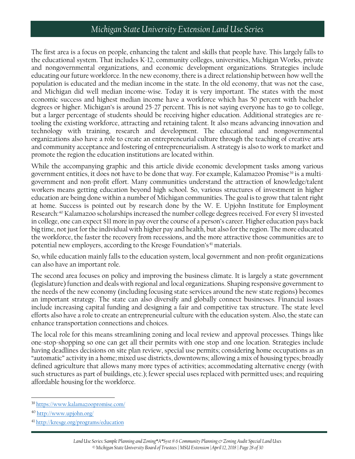The first area is a focus on people, enhancing the talent and skills that people have. This largely falls to the educational system. That includes K-12, community colleges, universities, Michigan Works, private and nongovernmental organizations, and economic development organizations. Strategies include educating our future workforce. In the new economy, there is a direct relationship between how well the population is educated and the median income in the state. In the old economy, that was not the case, and Michigan did well median income-wise. Today it is very important. The states with the most economic success and highest median income have a workforce which has 50 percent with bachelor degrees or higher. Michigan's is around 25-27 percent. This is not saying everyone has to go to college, but a larger percentage of students should be receiving higher education. Additional strategies are retooling the existing workforce, attracting and retaining talent. It also means advancing innovation and technology with training, research and development. The educational and nongovernmental organizations also have a role to create an entrepreneurial culture through the teaching of creative arts and community acceptance and fostering of entrepreneurialism. A strategy is also to work to market and promote the region the education institutions are located within.

While the accompanying graphic and this article divide economic development tasks among various government entities, it does not have to be done that way. For example, Kalamazoo Promise<sup>[39](#page-27-0)</sup> is a multigovernment and non-profit effort. Many communities understand the attraction of knowledge/talent workers means getting education beyond high school. So, various structures of investment in higher education are being done within a number of Michigan communities. The goal is to grow that talent right at home. Success is pointed out by research done by the W. E. Upjohn Institute for Employment Research:[40](#page-27-1) Kalamazoo scholarships increased the number college degrees received. For every \$1 invested in college, one can expect \$11 more in pay over the course of a person's career. Higher education pays back big time, not just for the individual with higher pay and health, but also for the region. The more educated the workforce, the faster the recovery from recessions, and the more attractive those communities are to potential new employers, according to the Kresge Foundation's<sup>[41](#page-27-2)</sup> materials.

So, while education mainly falls to the education system, local government and non-profit organizations can also have an important role.

The second area focuses on policy and improving the business climate. It is largely a state government (legislature) function and deals with regional and local organizations. Shaping responsive government to the needs of the new economy (including focusing state services around the new state regions) becomes an important strategy. The state can also diversify and globally connect businesses. Financial issues include increasing capital funding and designing a fair and competitive tax structure. The state level efforts also have a role to create an entrepreneurial culture with the education system. Also, the state can enhance transportation connections and choices.

The local role for this means streamlining zoning and local review and approval processes. Things like one-stop-shopping so one can get all their permits with one stop and one location. Strategies include having deadlines decisions on site plan review, special use permits; considering home occupations as an "automatic" activity in a home; mixed use districts, downtowns; allowing a mix of housing types; broadly defined agriculture that allows many more types of activities; accommodating alternative energy (with such structures as part of buildings, etc.); fewer special uses replaced with permitted uses; and requiring affordable housing for the workforce.

<span id="page-27-0"></span> $\overline{\phantom{a}}$ <sup>39</sup> <https://www.kalamazoopromise.com/>

<span id="page-27-1"></span><sup>40</sup> <http://www.upjohn.org/>

<span id="page-27-2"></span><sup>41</sup> <http://kresge.org/programs/education>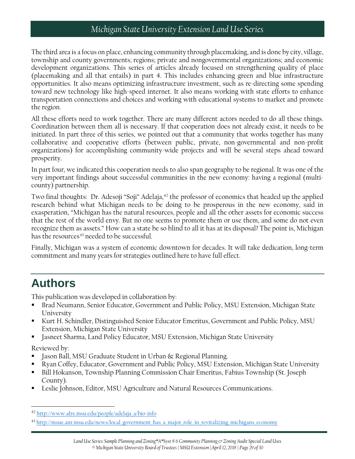The third area is a focus on place, enhancing community through placemaking, and is done by city, village, township and county governments; regions; private and nongovernmental organizations; and economic development organizations. This series of articles already focused on strengthening quality of place (placemaking and all that entails) in part 4. This includes enhancing green and blue infrastructure opportunities. It also means optimizing infrastructure investment, such as re-directing some spending toward new technology like high-speed internet. It also means working with state efforts to enhance transportation connections and choices and working with educational systems to market and promote the region.

All these efforts need to work together. There are many different actors needed to do all these things. Coordination between them all is necessary. If that cooperation does not already exist, it needs to be initiated. In part three of this series, we pointed out that a community that works together has many collaborative and cooperative efforts (between public, private, non-governmental and non-profit organizations) for accomplishing community-wide projects and will be several steps ahead toward prosperity.

In part four, we indicated this cooperation needs to also span geography to be regional. It was one of the very important findings about successful communities in the new economy: having a regional (multicounty) partnership.

Two final thoughts: Dr. Adesoji "Soji" Adelaja,<sup>[42](#page-28-1)</sup> the professor of economics that headed up the applied research behind what Michigan needs to be doing to be prosperous in the new economy, said in exasperation, "Michigan has the natural resources, people and all the other assets for economic success that the rest of the world envy. But no one seems to promote them or use them, and some do not even recognize them as assets." How can a state be so blind to all it has at its disposal? The point is, Michigan has the resources<sup>[43](#page-28-2)</sup> needed to be successful.

Finally, Michigan was a system of economic downtown for decades. It will take dedication, long-term commitment and many years for strategies outlined here to have full effect.

## <span id="page-28-0"></span>**Authors**

This publication was developed in collaboration by:

- Brad Neumann, Senior Educator, Government and Public Policy, MSU Extension, Michigan State University
- Kurt H. Schindler, Distinguished Senior Educator Emeritus, Government and Public Policy, MSU Extension, Michigan State University
- Jasneet Sharma, Land Policy Educator, MSU Extension, Michigan State University

Reviewed by:

l

- Jason Ball, MSU Graduate Student in Urban & Regional Planning.
- Ryan Coffey, Educator, Government and Public Policy, MSU Extension, Michigan State University
- Bill Hokanson, Township Planning Commission Chair Emeritus, Fabius Township (St. Joseph County).
- Leslie Johnson, Editor, MSU Agriculture and Natural Resources Communications.

<span id="page-28-1"></span><sup>42</sup> [http://www.afre.msu.edu/people/adelaja\\_a/bio-info](http://www.afre.msu.edu/people/adelaja_a/bio-info)

<span id="page-28-2"></span><sup>&</sup>lt;sup>43</sup> [http://msue.anr.msu.edu/news/local\\_government\\_has\\_a\\_major\\_role\\_in\\_revitalizing\\_michigans\\_economy](http://msue.anr.msu.edu/news/local_government_has_a_major_role_in_revitalizing_michigans_economy)